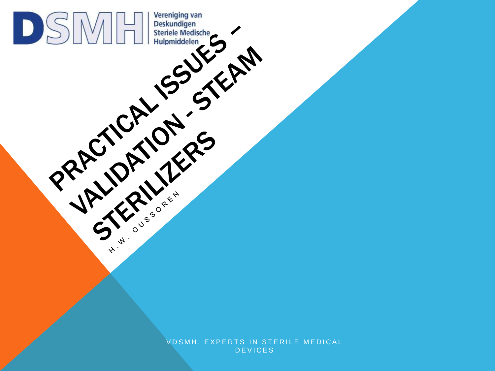VDSMH; EXPERTS IN STERILE MEDICAL **DEVICES** 

PRACTICAL ISSUES

Vereniging van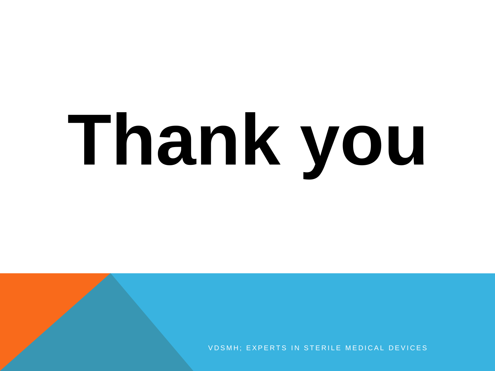# **Thank you**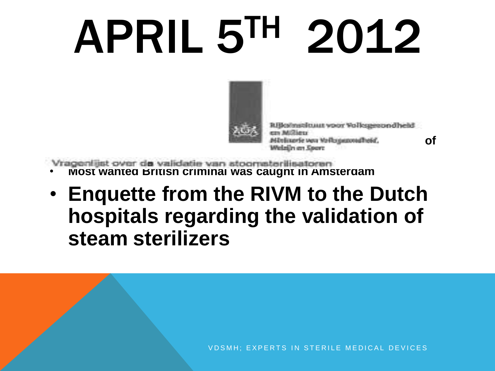## APRIL 5TH 2012



• **Bout is senteced to 25 years in prison for smuggling weapons** • **Sky news admits illegaly hacking emails belonging to members of** 

• **Most wanted British criminal was caught in Amsterdam**

• **Enquette from the RIVM to the Dutch hospitals regarding the validation of steam sterilizers**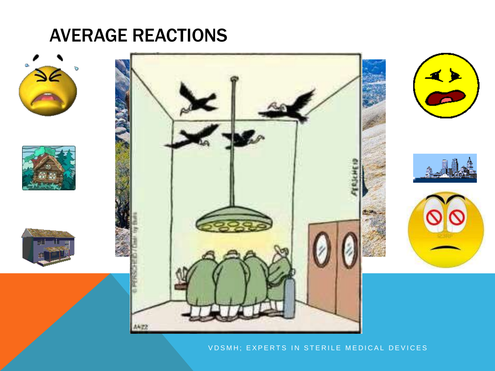#### AVERAGE REACTIONS













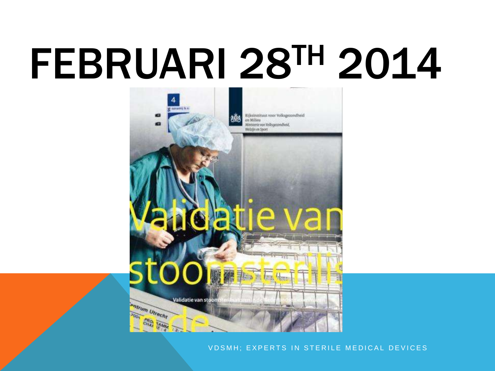## FEBRUARI 28TH 2014

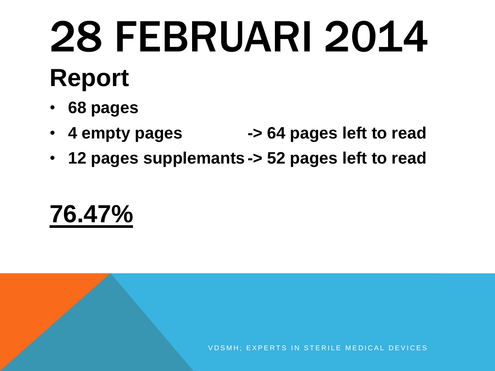## 28 FEBRUARI 2014

### **Report**

- **68 pages**
- **4 empty pages -> 64 pages left to read**
- **12 pages supplemants -> 52 pages left to read**

### **76.47%**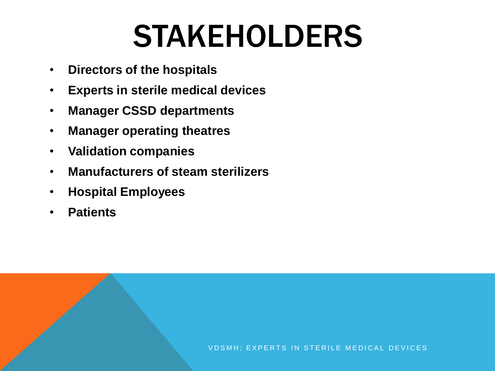### STAKEHOLDERS

- **Directors of the hospitals**
- **Experts in sterile medical devices**
- **Manager CSSD departments**
- **Manager operating theatres**
- **Validation companies**
- **Manufacturers of steam sterilizers**
- **Hospital Employees**
- **Patients**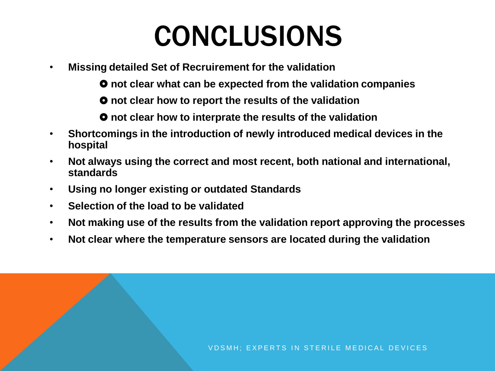### CONCLUSIONS

• **Missing detailed Set of Recruirement for the validation**

**not clear what can be expected from the validation companies**

**not clear how to report the results of the validation**

**not clear how to interprate the results of the validation**

- **Shortcomings in the introduction of newly introduced medical devices in the hospital**
- **Not always using the correct and most recent, both national and international, standards**
- **Using no longer existing or outdated Standards**
- **Selection of the load to be validated**
- **Not making use of the results from the validation report approving the processes**
- **Not clear where the temperature sensors are located during the validation**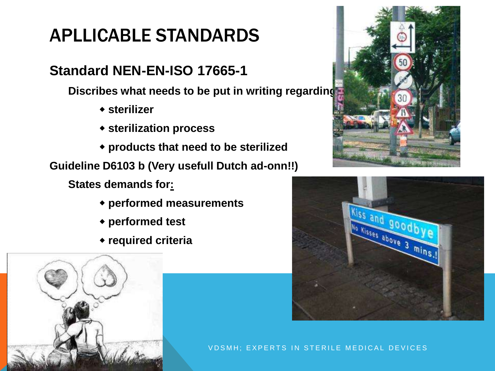#### APLLICABLE STANDARDS

#### **Standard NEN-EN-ISO 17665-1**

**Discribes what needs to be put in writing regarding:**

- **sterilizer**
- **sterilization process**
- **products that need to be sterilized**

**Guideline D6103 b (Very usefull Dutch ad-onn!!)**

**States demands for:**

- **performed measurements**
- **performed test**
- **required criteria**







V D S M H ; E X P E R T S IN S T E R I L E M E D I C A L D E V I C E S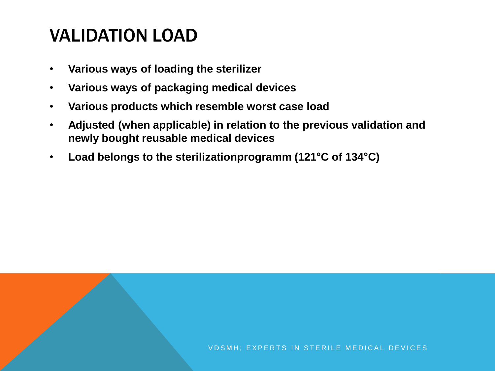#### VALIDATION LOAD

- **Various ways of loading the sterilizer**
- **Various ways of packaging medical devices**
- **Various products which resemble worst case load**
- **Adjusted (when applicable) in relation to the previous validation and newly bought reusable medical devices**
- **Load belongs to the sterilizationprogramm (121°C of 134°C)**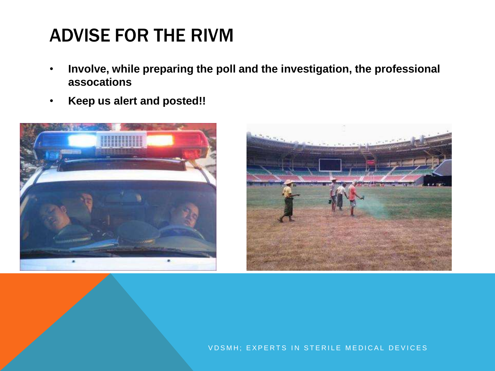#### ADVISE FOR THE RIVM

- **Involve, while preparing the poll and the investigation, the professional assocations**
- **Keep us alert and posted!!**



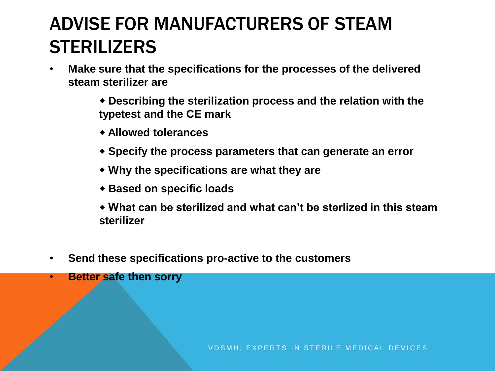#### ADVISE FOR MANUFACTURERS OF STEAM **STERILIZERS**

- **Make sure that the specifications for the processes of the delivered steam sterilizer are**
	- **Describing the sterilization process and the relation with the typetest and the CE mark**
	- **Allowed tolerances**
	- **Specify the process parameters that can generate an error**
	- **Why the specifications are what they are**
	- **Based on specific loads**
	- **What can be sterilized and what can't be sterlized in this steam sterilizer**
- **Send these specifications pro-active to the customers**
- **Better safe then sorry**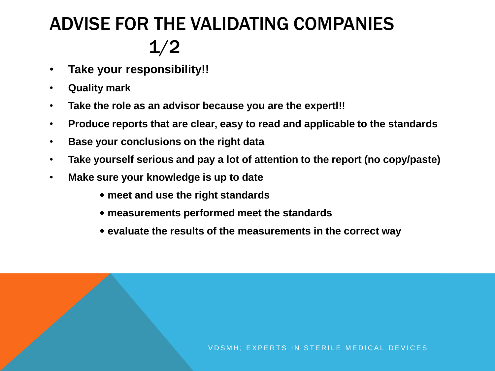#### ADVISE FOR THE VALIDATING COMPANIES 1/2

- **Take your responsibility!!**
- **Quality mark**
- **Take the role as an advisor because you are the expertl!!**
- **Produce reports that are clear, easy to read and applicable to the standards**
- **Base your conclusions on the right data**
- **Take yourself serious and pay a lot of attention to the report (no copy/paste)**
- **Make sure your knowledge is up to date**
	- **meet and use the right standards**
	- **measurements performed meet the standards**
	- **evaluate the results of the measurements in the correct way**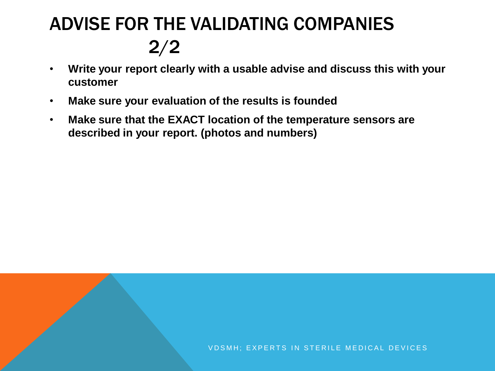#### ADVISE FOR THE VALIDATING COMPANIES 2/2

- **Write your report clearly with a usable advise and discuss this with your customer**
- **Make sure your evaluation of the results is founded**
- **Make sure that the EXACT location of the temperature sensors are described in your report. (photos and numbers)**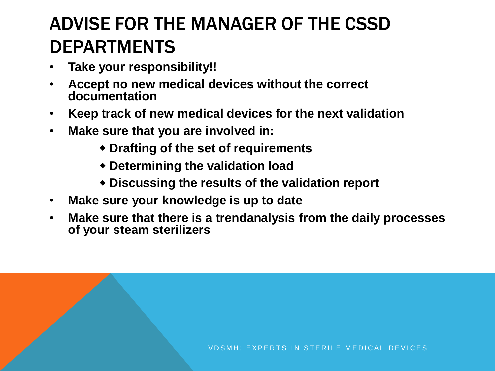#### ADVISE FOR THE MANAGER OF THE CSSD DEPARTMENTS

- **Take your responsibility!!**
- **Accept no new medical devices without the correct documentation**
- **Keep track of new medical devices for the next validation**
- **Make sure that you are involved in:**
	- **Drafting of the set of requirements**
	- **Determining the validation load**
	- **Discussing the results of the validation report**
- **Make sure your knowledge is up to date**
- **Make sure that there is a trendanalysis from the daily processes of your steam sterilizers**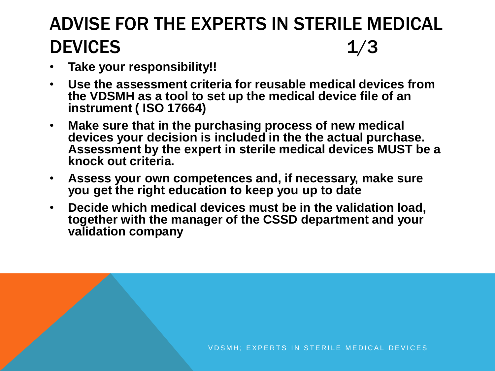#### ADVISE FOR THE EXPERTS IN STERILE MEDICAL DEVICES 1/3

- **Take your responsibility!!**
- **Use the assessment criteria for reusable medical devices from the VDSMH as a tool to set up the medical device file of an instrument ( ISO 17664)**
- **Make sure that in the purchasing process of new medical devices your decision is included in the the actual purchase. Assessment by the expert in sterile medical devices MUST be a knock out criteria.**
- **Assess your own competences and, if necessary, make sure you get the right education to keep you up to date**
- **Decide which medical devices must be in the validation load, together with the manager of the CSSD department and your validation company**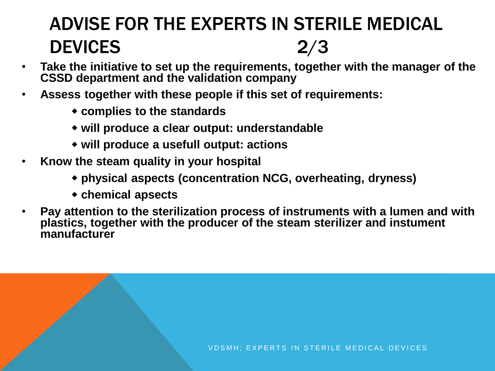#### ADVISE FOR THE EXPERTS IN STERILE MEDICAL DEVICES 2/3

- **Take the initiative to set up the requirements, together with the manager of the CSSD department and the validation company**
- **Assess together with these people if this set of requirements:**
	- **complies to the standards**
	- **will produce a clear output: understandable**
	- **will produce a usefull output: actions**
- **Know the steam quality in your hospital**
	- **physical aspects (concentration NCG, overheating, dryness)**
	- **chemical apsects**
- **Pay attention to the sterilization process of instruments with a lumen and with plastics, together with the producer of the steam sterilizer and instument manufacturer**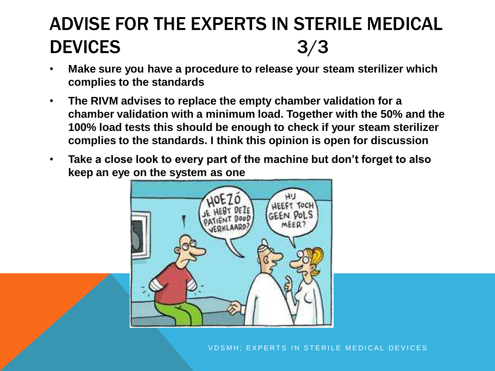#### ADVISE FOR THE EXPERTS IN STERILE MEDICAL DEVICES 3/3

- **Make sure you have a procedure to release your steam sterilizer which complies to the standards**
- **The RIVM advises to replace the empty chamber validation for a chamber validation with a minimum load. Together with the 50% and the 100% load tests this should be enough to check if your steam sterilizer complies to the standards. I think this opinion is open for discussion**
- **Take a close look to every part of the machine but don't forget to also keep an eye on the system as one**

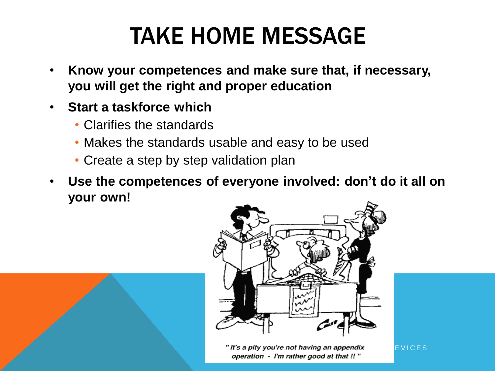### TAKE HOME MESSAGE

- **Know your competences and make sure that, if necessary, you will get the right and proper education**
- **Start a taskforce which**
	- Clarifies the standards
	- Makes the standards usable and easy to be used
	- Create a step by step validation plan
- **Use the competences of everyone involved: don't do it all on your own!**



"It's a pity you're not having an appendix  $E_VICES$ operation - I'm rather good at that !! "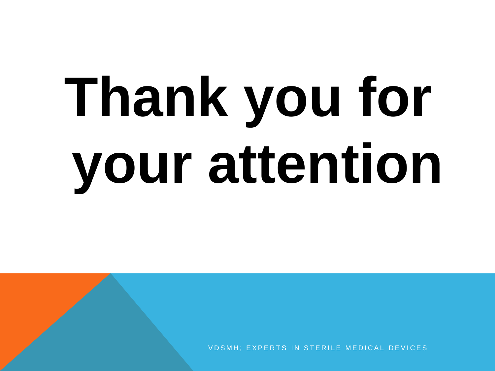## **Thank you for your attention**